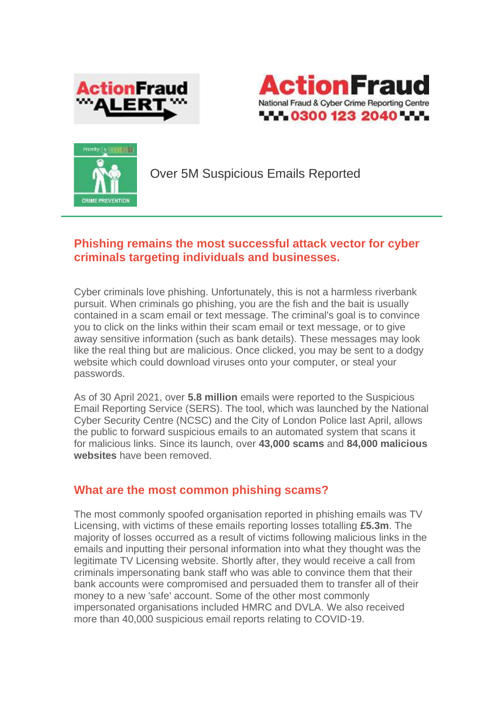





Over 5M Suspicious Emails Reported

## **Phishing remains the most successful attack vector for cyber criminals targeting individuals and businesses.**

Cyber criminals love phishing. Unfortunately, this is not a harmless riverbank pursuit. When criminals go phishing, you are the fish and the bait is usually contained in a scam email or text message. The criminal's goal is to convince you to click on the links within their scam email or text message, or to give away sensitive information (such as bank details). These messages may look like the real thing but are malicious. Once clicked, you may be sent to a dodgy website which could download viruses onto your computer, or steal your passwords.

As of 30 April 2021, over **5.8 million** emails were reported to the Suspicious Email Reporting Service (SERS). The tool, which was launched by the National Cyber Security Centre (NCSC) and the City of London Police last April, allows the public to forward suspicious emails to an automated system that scans it for malicious links. Since its launch, over **43,000 scams** and **84,000 malicious websites** have been removed.

## **What are the most common phishing scams?**

The most commonly spoofed organisation reported in phishing emails was TV Licensing, with victims of these emails reporting losses totalling **£5.3m**. The majority of losses occurred as a result of victims following malicious links in the emails and inputting their personal information into what they thought was the legitimate TV Licensing website. Shortly after, they would receive a call from criminals impersonating bank staff who was able to convince them that their bank accounts were compromised and persuaded them to transfer all of their money to a new 'safe' account. Some of the other most commonly impersonated organisations included HMRC and DVLA. We also received more than 40,000 suspicious email reports relating to COVID-19.